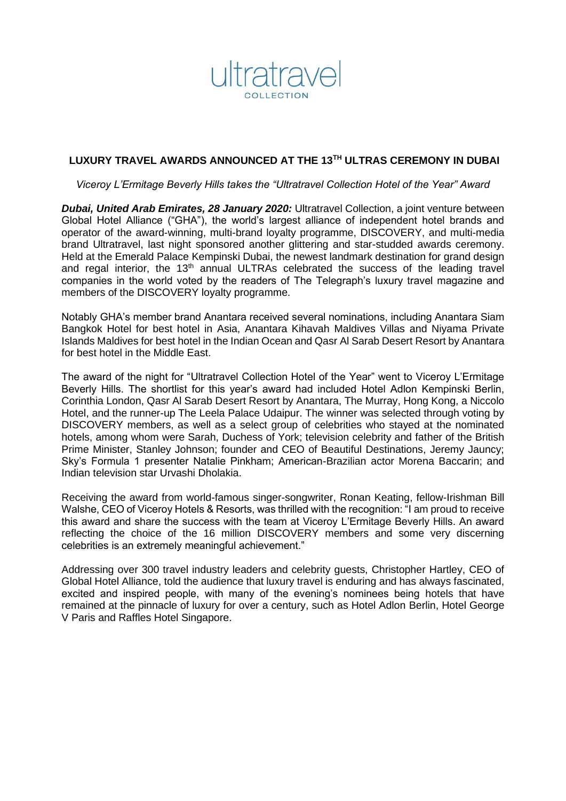

## **LUXURY TRAVEL AWARDS ANNOUNCED AT THE 13TH ULTRAS CEREMONY IN DUBAI**

*Viceroy L'Ermitage Beverly Hills takes the "Ultratravel Collection Hotel of the Year" Award*

**Dubai, United Arab Emirates, 28 January 2020:** Ultratravel Collection, a joint venture between Global Hotel Alliance ("GHA"), the world's largest alliance of independent hotel brands and operator of the award-winning, multi-brand loyalty programme, DISCOVERY, and multi-media brand Ultratravel, last night sponsored another glittering and star-studded awards ceremony. Held at the Emerald Palace Kempinski Dubai, the newest landmark destination for grand design and regal interior, the 13<sup>th</sup> annual ULTRAs celebrated the success of the leading travel companies in the world voted by the readers of The Telegraph's luxury travel magazine and members of the DISCOVERY loyalty programme.

Notably GHA's member brand Anantara received several nominations, including Anantara Siam Bangkok Hotel for best hotel in Asia, Anantara Kihavah Maldives Villas and Niyama Private Islands Maldives for best hotel in the Indian Ocean and Qasr Al Sarab Desert Resort by Anantara for best hotel in the Middle East.

The award of the night for "Ultratravel Collection Hotel of the Year" went to Viceroy L'Ermitage Beverly Hills. The shortlist for this year's award had included Hotel Adlon Kempinski Berlin, Corinthia London, Qasr Al Sarab Desert Resort by Anantara, The Murray, Hong Kong, a Niccolo Hotel, and the runner-up The Leela Palace Udaipur. The winner was selected through voting by DISCOVERY members, as well as a select group of celebrities who stayed at the nominated hotels, among whom were Sarah, Duchess of York; television celebrity and father of the British Prime Minister, Stanley Johnson; founder and CEO of Beautiful Destinations, Jeremy Jauncy; Sky's Formula 1 presenter Natalie Pinkham; American-Brazilian actor Morena Baccarin; and Indian television star Urvashi Dholakia.

Receiving the award from world-famous singer-songwriter, Ronan Keating, fellow-Irishman Bill Walshe, CEO of Viceroy Hotels & Resorts, was thrilled with the recognition: "I am proud to receive this award and share the success with the team at Viceroy L'Ermitage Beverly Hills. An award reflecting the choice of the 16 million DISCOVERY members and some very discerning celebrities is an extremely meaningful achievement."

Addressing over 300 travel industry leaders and celebrity guests, Christopher Hartley, CEO of Global Hotel Alliance, told the audience that luxury travel is enduring and has always fascinated, excited and inspired people, with many of the evening's nominees being hotels that have remained at the pinnacle of luxury for over a century, such as Hotel Adlon Berlin, Hotel George V Paris and Raffles Hotel Singapore.